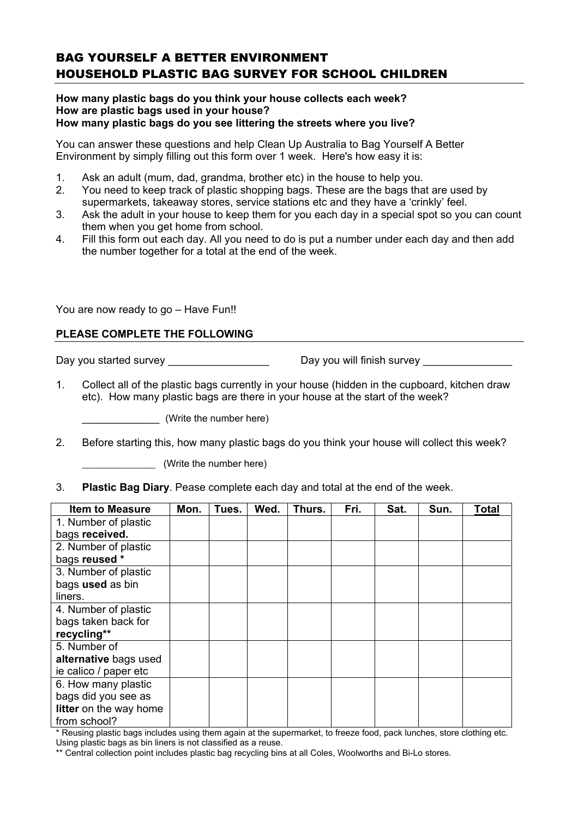## BAG YOURSELF A BETTER ENVIRONMENT HOUSEHOLD PLASTIC BAG SURVEY FOR SCHOOL CHILDREN

## **How many plastic bags do you think your house collects each week? How are plastic bags used in your house? How many plastic bags do you see littering the streets where you live?**

You can answer these questions and help Clean Up Australia to Bag Yourself A Better Environment by simply filling out this form over 1 week. Here's how easy it is:

- 1. Ask an adult (mum, dad, grandma, brother etc) in the house to help you.
- 2. You need to keep track of plastic shopping bags. These are the bags that are used by supermarkets, takeaway stores, service stations etc and they have a 'crinkly' feel.
- 3. Ask the adult in your house to keep them for you each day in a special spot so you can count them when you get home from school.
- 4. Fill this form out each day. All you need to do is put a number under each day and then add the number together for a total at the end of the week.

You are now ready to go – Have Fun!!

## **PLEASE COMPLETE THE FOLLOWING**

Day you started survey \_\_\_\_\_\_\_\_\_\_\_\_\_\_\_\_\_ Day you will finish survey \_\_\_\_\_\_\_\_\_\_\_\_\_\_\_

1. Collect all of the plastic bags currently in your house (hidden in the cupboard, kitchen draw etc). How many plastic bags are there in your house at the start of the week?

\_\_\_\_\_\_\_\_\_\_\_\_\_ (Write the number here)

2. Before starting this, how many plastic bags do you think your house will collect this week?

(Write the number here)

3. **Plastic Bag Diary**. Pease complete each day and total at the end of the week.

| <b>Item to Measure</b> | Mon. | Tues. | Wed. | Thurs. | Fri. | Sat. | Sun. | <b>Total</b> |
|------------------------|------|-------|------|--------|------|------|------|--------------|
| 1. Number of plastic   |      |       |      |        |      |      |      |              |
| bags received.         |      |       |      |        |      |      |      |              |
| 2. Number of plastic   |      |       |      |        |      |      |      |              |
| bags reused *          |      |       |      |        |      |      |      |              |
| 3. Number of plastic   |      |       |      |        |      |      |      |              |
| bags used as bin       |      |       |      |        |      |      |      |              |
| liners.                |      |       |      |        |      |      |      |              |
| 4. Number of plastic   |      |       |      |        |      |      |      |              |
| bags taken back for    |      |       |      |        |      |      |      |              |
| recycling**            |      |       |      |        |      |      |      |              |
| 5. Number of           |      |       |      |        |      |      |      |              |
| alternative bags used  |      |       |      |        |      |      |      |              |
| ie calico / paper etc  |      |       |      |        |      |      |      |              |
| 6. How many plastic    |      |       |      |        |      |      |      |              |
| bags did you see as    |      |       |      |        |      |      |      |              |
| litter on the way home |      |       |      |        |      |      |      |              |
| from school?           |      |       |      |        |      |      |      |              |

\* Reusing plastic bags includes using them again at the supermarket, to freeze food, pack lunches, store clothing etc. Using plastic bags as bin liners is not classified as a reuse.

\*\* Central collection point includes plastic bag recycling bins at all Coles, Woolworths and Bi-Lo stores.